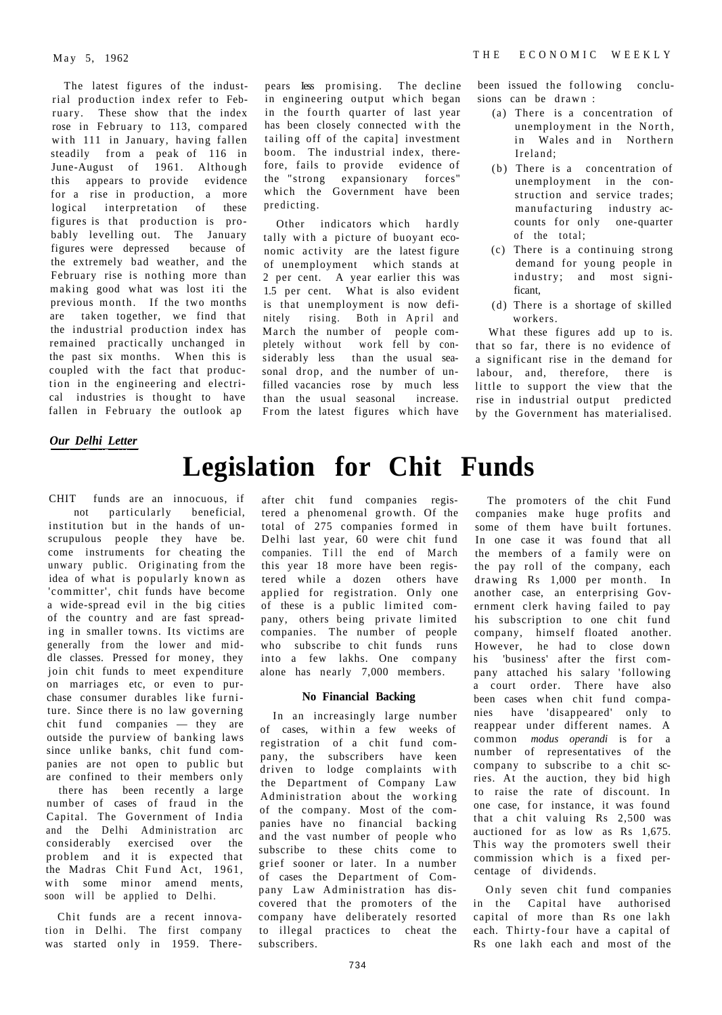The latest figures of the industrial production index refer to February. These show that the index rose in February to 113, compared with 111 in January, having fallen steadily from a peak of 116 in June-August of 1961. Although this appears to provide evidence for a rise in production, a more logical interpretation of these figures is that production is probably levelling out. The January figures were depressed because of the extremely bad weather, and the February rise is nothing more than making good what was lost iti the previous month. If the two months are taken together, we find that the industrial production index has remained practically unchanged in the past six months. When this is coupled with the fact that production in the engineering and electrical industries is thought to have fallen in February the outlook ap

pears Iess promising. The decline in engineering output which began in the fourth quarter of last year has been closely connected with the tailing off of the capital investment boom. The industrial index, therefore, fails to provide evidence of the "strong expansionary forces" which the Government have been predicting.

Other indicators which hardly tally with a picture of buoyant economic activity are the latest figure of unemployment which stands at 2 per cent. A year earlier this was 1.5 per cent. What is also evident is that unemployment is now definitely rising. Both in April and March the number of people completely without work fell by considerably less than the usual seasonal drop, and the number of unfilled vacancies rose by much less than the usual seasonal increase. From the latest figures which have

been issued the following conclusions can be drawn :

- (a) There is a concentration of unemployment in the North, in Wales and in Northern Ireland :
- (b) There is a concentration of unemployment in the construction and service trades; manufacturing industry accounts for only one-quarter of the total;
- (c) There is a continuing strong demand for young people in industry; and most significant,
- (d) There is a shortage of skilled workers.

What these figures add up to is. that so far, there is no evidence of a significant rise in the demand for labour, and, therefore, there is little to support the view that the rise in industrial output predicted by the Government has materialised.

# *Our Delhi Letter*

# **Legislation for Chit Funds**

CHIT funds are an innocuous, if not particularly beneficial, institution but in the hands of unscrupulous people they have be. come instruments for cheating the unwary public. Originating from the idea of what is popularly known as 'committer', chit funds have become a wide-spread evil in the big cities of the country and are fast spreading in smaller towns. Its victims are generally from the lower and middle classes. Pressed for money, they join chit funds to meet expenditure on marriages etc, or even to purchase consumer durables like furniture. Since there is no law governing chit fund companies — they are outside the purview of banking laws since unlike banks, chit fund companies are not open to public but are confined to their members only

there has been recently a large number of cases of fraud in the Capital. The Government of India and the Delhi Administration arc considerably exercised over the problem and it is expected that the Madras Chit Fund Act, 1961, with some minor amend ments, soon will be applied to Delhi.

Chit funds are a recent innovation in Delhi. The first company was started only in 1959. There-

after chit fund companies registered a phenomenal growth. Of the total of 275 companies formed in Delhi last year, 60 were chit fund companies. Till the end of March this year 18 more have been registered while a dozen others have applied for registration. Only one of these is a public limited company, others being private limited companies. The number of people who subscribe to chit funds runs into a few lakhs. One company alone has nearly 7,000 members.

#### **No Financial Backing**

In an increasingly large number of cases, within a few weeks of registration of a chit fund company, the subscribers have keen driven to lodge complaints with the Department of Company Law Administration about the working of the company. Most of the companies have no financial backing and the vast number of people who subscribe to these chits come to grief sooner or later. In a number of cases the Department of Company Law Administration has discovered that the promoters of the company have deliberately resorted to illegal practices to cheat the subscribers.

The promoters of the chit Fund companies make huge profits and some of them have built fortunes. In one case it was found that all the members of a family were on the pay roll of the company, each drawing Rs 1,000 per month. In another case, an enterprising Government clerk having failed to pay his subscription to one chit fund company, himself floated another. However, he had to close down his 'business' after the first company attached his salary 'following a court order. There have also been cases when chit fund companies have 'disappeared' only to reappear under different names. A common *modus operandi* is for a number of representatives of the company to subscribe to a chit scries. At the auction, they bid high to raise the rate of discount. In one case, for instance, it was found that a chit valuing Rs 2,500 was auctioned for as low as Rs 1,675. This way the promoters swell their commission which is a fixed percentage of dividends.

Only seven chit fund companies in the Capital have authorised capital of more than Rs one lakh each. Thirty-four have a capital of Rs one lakh each and most of the